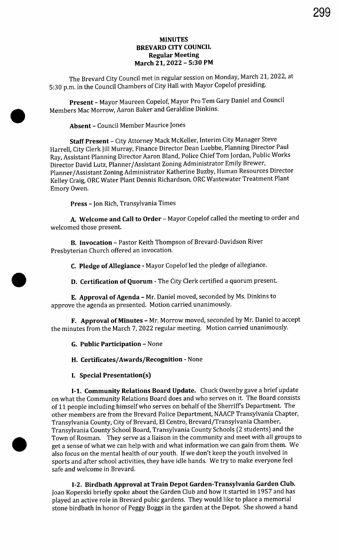# MINUTES BREVARD CITY COUNCIL Regular Meeting March 21, 2022 - 5:30 PM

The Brevard City Council met in regular session on Monday, March 21, 2022, at 5: 30 p.m. in the Council Chambers of City Hall with Mayor Copelof presiding.

Present - Mayor Maureen Copelof, Mayor Pro Tem Gary Daniel and Council Members Mac Morrow, Aaron Baker and Geraldine Dinkins.

Absent - Council Member Maurice Jones

Staff Present - City Attorney Mack McKeller, Interim City Manager Steve Harrell, City Clerk Jill Murray, Finance Director Dean Luebbe, Planning Director Paul Ray, Assistant Planning Director Aaron Bland, Police Chief Tom Jordan, Public Works Director David Lutz, Planner/ Assistant Zoning Administrator Emily Brewer, Planner/ Assistant Zoning Administrator Katherine Buzby, Human Resources Director Kelley Craig, ORC Water Plant Dennis Richardson, ORC Wastewater Treatment Plant Emory Owen.

Press - Jon Rich, Transylvania Times

A. Welcome and Call to Order - Mayor Copelof called the meeting to order and welcomed those present.

B. Invocation - Pastor Keith Thompson of Brevard-Davidson River Presbyterian Church offered an invocation.

C. Pledge of Allegiance - Mayor Copelof led the pledge of allegiance.

D. Certification of Quorum - The City Clerk certified <sup>a</sup> quorum present.

E. Approval of Agenda - Mr. Daniel moved, seconded by Ms. Dinkins to approve the agenda as presented. Motion carried unanimously.

F. Approval of Minutes - Mr. Morrow moved, seconded by Mr. Daniel to accept the minutes from the March 7, 2022 regular meeting. Motion carried unanimously.

G. Public Participation - None

H. Certificates/Awards/Recognition - None

I. Special Presentation(s)

I-1. Community Relations Board Update. Chuck Owenby gave a brief update on what the Community Relations Board does and who serves on it. The Board consists of 11 people including himself who serves on behalf of the Sherriff <sup>s</sup> Department. The other members are from the Brevard Police Department, NAACP Transylvania Chapter, Transylvania County, City of Brevard, El Centro, Brevard/ Transylvania Chamber, Transylvania County School Board, Transylvania County Schools ( <sup>2</sup> students) and the Town of Rosman. They serve as <sup>a</sup> liaison in the community and meet with all groups to get a sense of what we can help with and what information we can gain from them. We also focus on the mental health of our youth. If we don't keep the youth involved in sports and after school activities, they have idle hands. We try to make everyone feel safe and welcome in Brevard.

I-2. Birdbath Approval at Train Depot Garden-Transylvania Garden Club. Joan Koperski briefly spoke about the Garden Club and how it started in 1957 and has played an active role in Brevard pubic gardens. They would like to place a memorial stone birdbath in honor of Peggy Boggs in the garden at the Depot. She showed a hand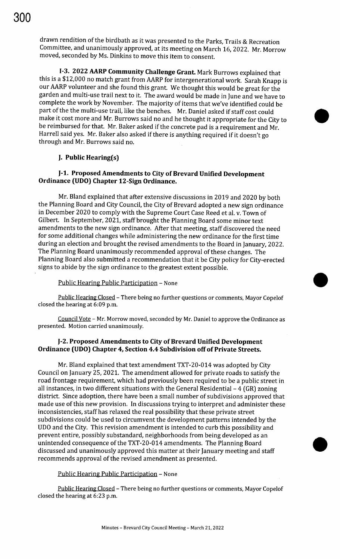drawn rendition of the birdbath as it was presented to the Parks, Trails & Recreation Committee, and unanimously approved, at its meeting on March 16, 2022. Mr. Morrow moved, seconded by Ms. Dinkins to move this item to consent.

I-3. 2022 AARP Community Challenge Grant. Mark Burrows explained that this is a \$12,000 no match grant from AARP for intergenerational work. Sarah Knapp is our AARP volunteer and she found this grant. We thought this would be great for the garden and multi-use trail next to it. The award would be made in June and we have to complete the work by November. The majority of items that we've identified could be part of the the multi-use trail, like the benches. Mr. Daniel asked if staff cost could make it cost more and Mr. Burrows said no and he thought it appropriate for the City to 0 be reimbursed for that. Mr. Baker asked if the concrete pad is <sup>a</sup> requirement and Mr. Harrell said yes. Mr. Baker also asked if there is anything required if it doesn't go through and Mr. Burrows said no.

## J. Public Hearing(s)

## J- 1. Proposed Amendments to City of Brevard Unified Development Ordinance (UDO) Chapter 12 -Sign Ordinance.

Mr. Bland explained that after extensive discussions in 2019 and 2020 by both the Planning Board and City Council, the City of Brevard adopted a new sign ordinance in December 2020 to comply with the Supreme Court Case Reed et al. v. Town of Gilbert. In September, 2021, staff brought the Planning Board some minor text amendments to the new sign ordinance. After that meeting, staff discovered the need for some additional changes while administering the new ordinance for the first time during an election and brought the revised amendments to the Board in January, 2022. The Planning Board unanimously recommended approval of these changes. The Planning Board also submitted <sup>a</sup> recommendation that it be City policy for City -erected signs to abide by the sign ordinance to the greatest extent possible.

#### Public Hearing Public Participation - None

Public Hearing Closed - There being no further questions or comments, Mayor Copelof closed the hearing at 6:09 p.m.

Council Vote - Mr. Morrow moved, seconded by Mr. Daniel to approve the Ordinance as presented. Motion carried unanimously.

### J- 2. Proposed Amendments to City of Brevard Unified Development Ordinance (UDO) Chapter 4, Section 4.4 Subdivision off of Private Streets.

Mr. Bland explained that text amendment TXT -20- 014 was adopted by City Council on January 25, 2021. The amendment allowed for private roads to satisfy the road frontage requirement, which had previously been required to be a public street in all instances, in two different situations with the General Residential  $-4$  (GR) zoning district. Since adoption, there have been a small number of subdivisions approved that made use of this new provision. In discussions trying to interpret and administer these inconsistencies, staff has relaxed the real possibility that these private street subdivisions could be used to circumvent the development patterns intended by the UDO and the City. This revision amendment is intended to curb this possibility and prevent entire, possibly substandard, neighborhoods from being developed as an unintended consequence of the TXT -20- 014 amendments. The Planning Board discussed and unanimously approved this matter at their January meeting and staff recommends approval of the revised amendment as presented.

### Public Hearing Public Participation - None

Public Hearing Closed - There being no further questions or comments, Mayor Copelof closed the hearing at 6:23 p.m.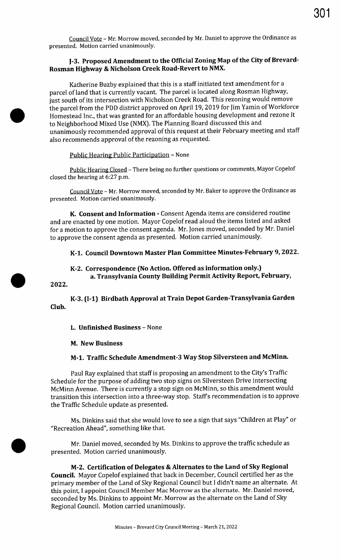Council Vote - Mr. Morrow moved, seconded by Mr. Daniel to approve the Ordinance as presented. Motion carried unanimously.

# I-3. Proposed Amendment to the Official Zoning Map of the City of Brevard-Rosman Highway & Nicholson Creek Road -Revert to NMX.

Katherine Buzby explained that this is a staff initiated text amendment for a parcel of land that is currently vacant. The parcel is located along Rosman Highway, just south of its intersection with Nicholson Creek Road. This rezoning would remove the parcel from the PDD district approved on April 19, 2019 for Jim Yamin of Workforce Homestead Inc., that was granted for an affordable housing development and rezone it to Neighborhood Mixed Use ( NMX). The Planning Board discussed this and unanimously recommended approval of this request at their February meeting and staff also recommends approval of the rezoning as requested.

## Public Hearing Public Participation - None

Public Hearing Closed - There being no further questions or comments, Mayor Copelof closed the hearing at 6:27 p.m.

Council Vote - Mr. Morrow moved, seconded by Mr. Baker to approve the Ordinance as presented. Motion carried unanimously.

K. Consent and Information - Consent Agenda items are considered routine and are enacted by one motion. Mayor Copelof read aloud the items listed and asked for a motion to approve the consent agenda. Mr. Jones moved, seconded by Mr. Daniel to approve the consent agenda as presented. Motion carried unanimously.

#### K-1. Council Downtown Master Plan Committee Minutes -February 9, 2022.

## K-2. Correspondence ( No Action. Offered as information only.) a. Transylvania County Building Permit Activity Report, February,

2022.

K-3. (I-1) Birdbath Approval at Train Depot Garden-Transylvania Garden Club.

#### L. Unfinished Business - None

#### M. New Business

# M-1. Traffic Schedule Amendment-3 Way Stop Silversteen and McMinn.

Paul Ray explained that staff is proposing an amendment to the City's Traffic Schedule for the purpose of adding two stop signs on Silversteen Drive intersecting McMinn Avenue. There is currently a stop sign on McMinn, so this amendment would transition this intersection into a three-way stop. Staff's recommendation is to approve the Traffic Schedule update as presented.

Ms. Dinkins said that she would love to see a sign that says " Children at Play" or Recreation Ahead", something like that.

Mr. Daniel moved, seconded by Ms. Dinkins to approve the traffic schedule as presented. Motion carried unanimously.

M-2. Certification of Delegates & Alternates to the Land of Sky Regional Council. Mayor Copelof explained that back in December, Council certified her as the primary member of the Land of Sky Regional Council but <sup>I</sup> didn't name an alternate. At this point, I appoint Council Member Mac Morrow as the alternate. Mr. Daniel moved, seconded by Ms. Dinkins to appoint Mr. Morrow as the alternate on the Land of Sky Regional Council. Motion carried unanimously.